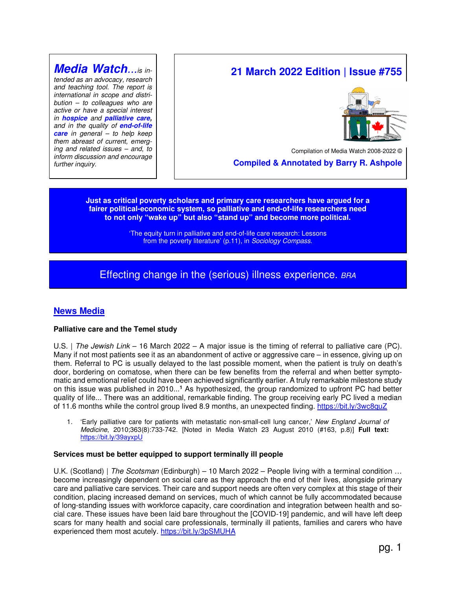# **Media Watch**...is in-

tended as an advocacy, research and teaching tool. The report is international in scope and distribution – to colleagues who are active or have a special interest in **hospice** and **palliative care,** and in the quality of **end-of-life care** in general – to help keep them abreast of current, emerging and related issues – and, to inform discussion and encourage further inquiry.

# **21 March 2022 Edition | Issue #755**



Compilation of Media Watch 2008-2022

 **Compiled & Annotated by Barry R. Ashpole** 

**Just as critical poverty scholars and primary care researchers have argued for a fairer political-economic system, so palliative and end-of-life researchers need to not only "wake up" but also "stand up" and become more political.** 

> 'The equity turn in palliative and end-of-life care research: Lessons from the poverty literature' (p.11), in Sociology Compass.

# Effecting change in the (serious) illness experience. BRA

# **News Media**

#### **Palliative care and the Temel study**

U.S. | The Jewish Link – 16 March 2022 – A major issue is the timing of referral to palliative care (PC). Many if not most patients see it as an abandonment of active or aggressive care – in essence, giving up on them. Referral to PC is usually delayed to the last possible moment, when the patient is truly on death's door, bordering on comatose, when there can be few benefits from the referral and when better symptomatic and emotional relief could have been achieved significantly earlier. A truly remarkable milestone study on this issue was published in 2010...**<sup>1</sup>** As hypothesized, the group randomized to upfront PC had better quality of life... There was an additional, remarkable finding. The group receiving early PC lived a median of 11.6 months while the control group lived 8.9 months, an unexpected finding. https://bit.ly/3wc8quZ

1. 'Early palliative care for patients with metastatic non-small-cell lung cancer,' New England Journal of Medicine, 2010;363(8):733-742. [Noted in Media Watch 23 August 2010 (#163, p.8)] **Full text:** https://bit.ly/39ayxpU

#### **Services must be better equipped to support terminally ill people**

U.K. (Scotland) | The Scotsman (Edinburgh) – 10 March 2022 – People living with a terminal condition ... become increasingly dependent on social care as they approach the end of their lives, alongside primary care and palliative care services. Their care and support needs are often very complex at this stage of their condition, placing increased demand on services, much of which cannot be fully accommodated because of long-standing issues with workforce capacity, care coordination and integration between health and social care. These issues have been laid bare throughout the [COVID-19] pandemic, and will have left deep scars for many health and social care professionals, terminally ill patients, families and carers who have experienced them most acutely. https://bit.ly/3pSMUHA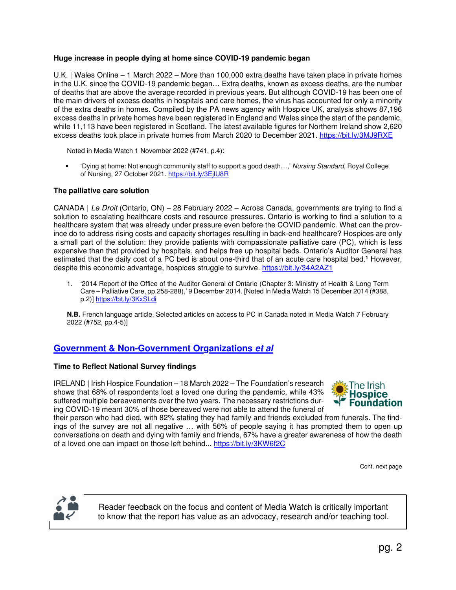# **Huge increase in people dying at home since COVID-19 pandemic began**

U.K. | Wales Online – 1 March 2022 – More than 100,000 extra deaths have taken place in private homes in the U.K. since the COVID-19 pandemic began… Extra deaths, known as excess deaths, are the number of deaths that are above the average recorded in previous years. But although COVID-19 has been one of the main drivers of excess deaths in hospitals and care homes, the virus has accounted for only a minority of the extra deaths in homes. Compiled by the PA news agency with Hospice UK, analysis shows 87,196 excess deaths in private homes have been registered in England and Wales since the start of the pandemic, while 11,113 have been registered in Scotland. The latest available figures for Northern Ireland show 2,620 excess deaths took place in private homes from March 2020 to December 2021. https://bit.ly/3MJ9RXE

Noted in Media Watch 1 November 2022 (#741, p.4):

 'Dying at home: Not enough community staff to support a good death…,' Nursing Standard, Royal College of Nursing, 27 October 2021. https://bit.ly/3EjlU8R

# **The palliative care solution**

CANADA | Le Droit (Ontario, ON) – 28 February 2022 – Across Canada, governments are trying to find a solution to escalating healthcare costs and resource pressures. Ontario is working to find a solution to a healthcare system that was already under pressure even before the COVID pandemic. What can the province do to address rising costs and capacity shortages resulting in back-end healthcare? Hospices are only a small part of the solution: they provide patients with compassionate palliative care (PC), which is less expensive than that provided by hospitals, and helps free up hospital beds. Ontario's Auditor General has estimated that the daily cost of a PC bed is about one-third that of an acute care hospital bed.<sup>1</sup> However, despite this economic advantage, hospices struggle to survive. https://bit.ly/34A2AZ1

1. '2014 Report of the Office of the Auditor General of Ontario (Chapter 3: Ministry of Health & Long Term Care – Palliative Care, pp.258-288),' 9 December 2014. [Noted In Media Watch 15 December 2014 (#388, p.2)] https://bit.ly/3KxSLdi

**N.B.** French language article. Selected articles on access to PC in Canada noted in Media Watch 7 February 2022 (#752, pp.4-5)]

# **Government & Non-Government Organizations et al**

#### **Time to Reflect National Survey findings**

IRELAND | Irish Hospice Foundation – 18 March 2022 – The Foundation's research shows that 68% of respondents lost a loved one during the pandemic, while 43% suffered multiple bereavements over the two years. The necessary restrictions during COVID-19 meant 30% of those bereaved were not able to attend the funeral of



their person who had died, with 82% stating they had family and friends excluded from funerals. The findings of the survey are not all negative … with 56% of people saying it has prompted them to open up conversations on death and dying with family and friends, 67% have a greater awareness of how the death of a loved one can impact on those left behind... https://bit.ly/3KW6f2C

Cont. next page



Reader feedback on the focus and content of Media Watch is critically important to know that the report has value as an advocacy, research and/or teaching tool.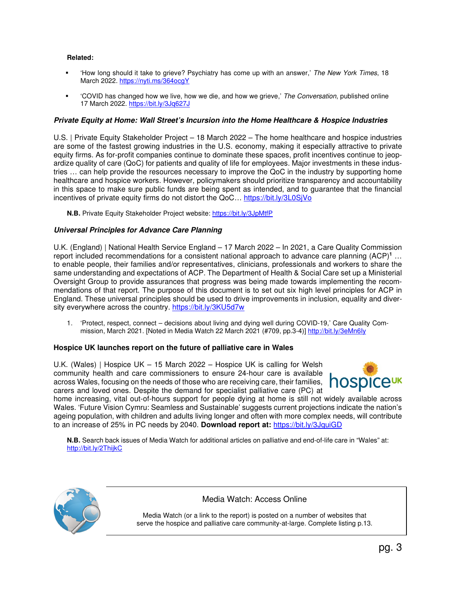# **Related:**

- 'How long should it take to grieve? Psychiatry has come up with an answer,' The New York Times, 18 March 2022. https://nyti.ms/364ocgY
- 'COVID has changed how we live, how we die, and how we grieve,' The Conversation, published online 17 March 2022. https://bit.ly/3Jq627J

# **Private Equity at Home: Wall Street's Incursion into the Home Healthcare & Hospice Industries**

U.S. | Private Equity Stakeholder Project – 18 March 2022 – The home healthcare and hospice industries are some of the fastest growing industries in the U.S. economy, making it especially attractive to private equity firms. As for-profit companies continue to dominate these spaces, profit incentives continue to jeopardize quality of care (QoC) for patients and quality of life for employees. Major investments in these industries … can help provide the resources necessary to improve the QoC in the industry by supporting home healthcare and hospice workers. However, policymakers should prioritize transparency and accountability in this space to make sure public funds are being spent as intended, and to guarantee that the financial incentives of private equity firms do not distort the QoC… https://bit.ly/3L0SjVo

**N.B.** Private Equity Stakeholder Project website: https://bit.ly/3JpMtfP

# **Universal Principles for Advance Care Planning**

U.K. (England) | National Health Service England – 17 March 2022 – In 2021, a Care Quality Commission report included recommendations for a consistent national approach to advance care planning (ACP)**<sup>1</sup>** … to enable people, their families and/or representatives, clinicians, professionals and workers to share the same understanding and expectations of ACP. The Department of Health & Social Care set up a Ministerial Oversight Group to provide assurances that progress was being made towards implementing the recommendations of that report. The purpose of this document is to set out six high level principles for ACP in England. These universal principles should be used to drive improvements in inclusion, equality and diversity everywhere across the country. https://bit.ly/3KU5d7w

1. 'Protect, respect, connect – decisions about living and dying well during COVID-19,' Care Quality Commission, March 2021. [Noted in Media Watch 22 March 2021 (#709, pp.3-4)] http://bit.ly/3eMn6Iy

#### **Hospice UK launches report on the future of palliative care in Wales**

U.K. (Wales) | Hospice UK – 15 March 2022 – Hospice UK is calling for Welsh community health and care commissioners to ensure 24-hour care is available across Wales, focusing on the needs of those who are receiving care, their families, carers and loved ones. Despite the demand for specialist palliative care (PC) at



home increasing, vital out-of-hours support for people dying at home is still not widely available across Wales. 'Future Vision Cymru: Seamless and Sustainable' suggests current projections indicate the nation's ageing population, with children and adults living longer and often with more complex needs, will contribute to an increase of 25% in PC needs by 2040. **Download report at:** https://bit.ly/3JquiGD

**N.B.** Search back issues of Media Watch for additional articles on palliative and end-of-life care in "Wales" at: http://bit.ly/2ThijkC



# Media Watch: Access Online

Media Watch (or a link to the report) is posted on a number of websites that serve the hospice and palliative care community-at-large. Complete listing p.13.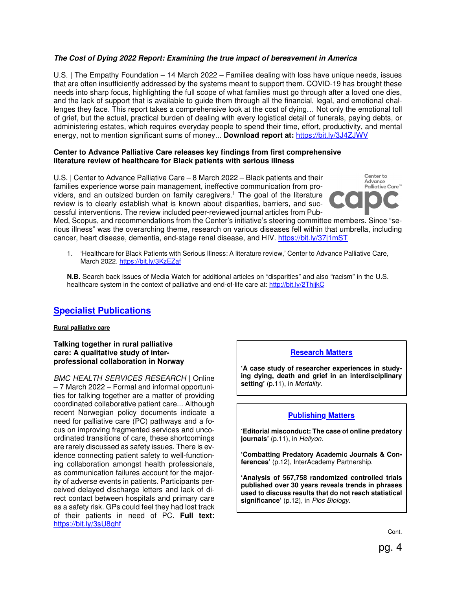# **The Cost of Dying 2022 Report: Examining the true impact of bereavement in America**

U.S. | The Empathy Foundation – 14 March 2022 – Families dealing with loss have unique needs, issues that are often insufficiently addressed by the systems meant to support them. COVID-19 has brought these needs into sharp focus, highlighting the full scope of what families must go through after a loved one dies, and the lack of support that is available to guide them through all the financial, legal, and emotional challenges they face. This report takes a comprehensive look at the cost of dying… Not only the emotional toll of grief, but the actual, practical burden of dealing with every logistical detail of funerals, paying debts, or administering estates, which requires everyday people to spend their time, effort, productivity, and mental energy, not to mention significant sums of money... **Download report at:** https://bit.ly/3J4ZJWV

#### **Center to Advance Palliative Care releases key findings from first comprehensive literature review of healthcare for Black patients with serious illness**

U.S. | Center to Advance Palliative Care – 8 March 2022 – Black patients and their families experience worse pain management, ineffective communication from providers, and an outsized burden on family caregivers. **1** The goal of the literature review is to clearly establish what is known about disparities, barriers, and successful interventions. The review included peer-reviewed journal articles from Pub-



Med, Scopus, and recommendations from the Center's initiative's steering committee members. Since "serious illness" was the overarching theme, research on various diseases fell within that umbrella, including cancer, heart disease, dementia, end-stage renal disease, and HIV. https://bit.ly/37j1mST

1. 'Healthcare for Black Patients with Serious Illness: A literature review,' Center to Advance Palliative Care, March 2022. https://bit.ly/3KzEZaf

**N.B.** Search back issues of Media Watch for additional articles on "disparities" and also "racism" in the U.S. healthcare system in the context of palliative and end-of-life care at: http://bit.ly/2ThijkC

# **Specialist Publications**

#### **Rural palliative care**

#### **Talking together in rural palliative care: A qualitative study of interprofessional collaboration in Norway**

BMC HEALTH SERVICES RESEARCH | Online – 7 March 2022 – Formal and informal opportunities for talking together are a matter of providing coordinated collaborative patient care... Although recent Norwegian policy documents indicate a need for palliative care (PC) pathways and a focus on improving fragmented services and uncoordinated transitions of care, these shortcomings are rarely discussed as safety issues. There is evidence connecting patient safety to well-functioning collaboration amongst health professionals, as communication failures account for the majority of adverse events in patients. Participants perceived delayed discharge letters and lack of direct contact between hospitals and primary care as a safety risk. GPs could feel they had lost track of their patients in need of PC. **Full text:**  https://bit.ly/3sU8qhf

# **Research Matters**

**'A case study of researcher experiences in studying dying, death and grief in an interdisciplinary setting'** (p.11), in Mortality.

# **Publishing Matters**

**'Editorial misconduct: The case of online predatory journals'** (p.11), in Heliyon.

**'Combatting Predatory Academic Journals & Conferences'** (p.12), InterAcademy Partnership.

**'Analysis of 567,758 randomized controlled trials published over 30 years reveals trends in phrases used to discuss results that do not reach statistical significance'** (p.12), in Plos Biology.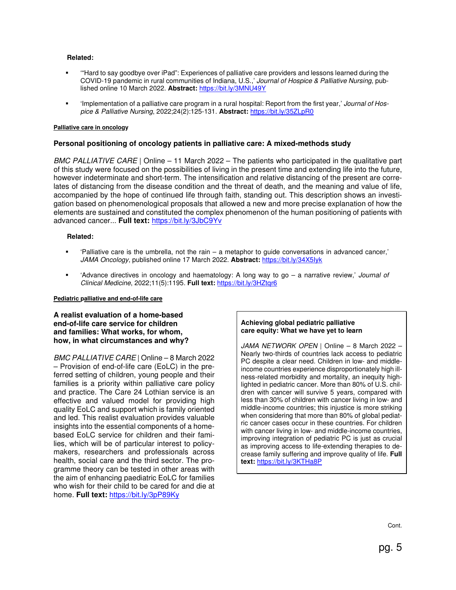#### **Related:**

- '"Hard to say goodbye over iPad": Experiences of palliative care providers and lessons learned during the COVID-19 pandemic in rural communities of Indiana, U.S.,' Journal of Hospice & Palliative Nursing, published online 10 March 2022. **Abstract:** https://bit.ly/3MNU49Y
- 'Implementation of a palliative care program in a rural hospital: Report from the first year,' Journal of Hospice & Palliative Nursing, 2022;24(2):125-131. **Abstract:** https://bit.ly/35ZLpR0

#### **Palliative care in oncology**

#### **Personal positioning of oncology patients in palliative care: A mixed-methods study**

BMC PALLIATIVE CARE | Online – 11 March 2022 – The patients who participated in the qualitative part of this study were focused on the possibilities of living in the present time and extending life into the future, however indeterminate and short-term. The intensification and relative distancing of the present are correlates of distancing from the disease condition and the threat of death, and the meaning and value of life, accompanied by the hope of continued life through faith, standing out. This description shows an investigation based on phenomenological proposals that allowed a new and more precise explanation of how the elements are sustained and constituted the complex phenomenon of the human positioning of patients with advanced cancer... **Full text:** https://bit.ly/3JbC9Yv

#### **Related:**

- 'Palliative care is the umbrella, not the rain a metaphor to guide conversations in advanced cancer,' JAMA Oncology, published online 17 March 2022. **Abstract:** https://bit.ly/34X5Iyk
- 'Advance directives in oncology and haematology: A long way to go a narrative review,' Journal of Clinical Medicine, 2022;11(5):1195. **Full text:** https://bit.ly/3HZtqr6

#### **Pediatric palliative and end-of-life care**

**A realist evaluation of a home-based end-of-life care service for children and families: What works, for whom, how, in what circumstances and why?** 

BMC PALLIATIVE CARE | Online – 8 March 2022 – Provision of end-of-life care (EoLC) in the preferred setting of children, young people and their families is a priority within palliative care policy and practice. The Care 24 Lothian service is an effective and valued model for providing high quality EoLC and support which is family oriented and led. This realist evaluation provides valuable insights into the essential components of a homebased EoLC service for children and their families, which will be of particular interest to policymakers, researchers and professionals across health, social care and the third sector. The programme theory can be tested in other areas with the aim of enhancing paediatric EoLC for families who wish for their child to be cared for and die at home. **Full text:** https://bit.ly/3pP89Ky

#### **Achieving global pediatric palliative care equity: What we have yet to learn**

JAMA NETWORK OPEN | Online – 8 March 2022 – Nearly two-thirds of countries lack access to pediatric PC despite a clear need. Children in low- and middleincome countries experience disproportionately high illness-related morbidity and mortality, an inequity highlighted in pediatric cancer. More than 80% of U.S. children with cancer will survive 5 years, compared with less than 30% of children with cancer living in low- and middle-income countries; this injustice is more striking when considering that more than 80% of global pediatric cancer cases occur in these countries. For children with cancer living in low- and middle-income countries, improving integration of pediatric PC is just as crucial as improving access to life-extending therapies to decrease family suffering and improve quality of life. **Full text:** https://bit.ly/3KTHa8P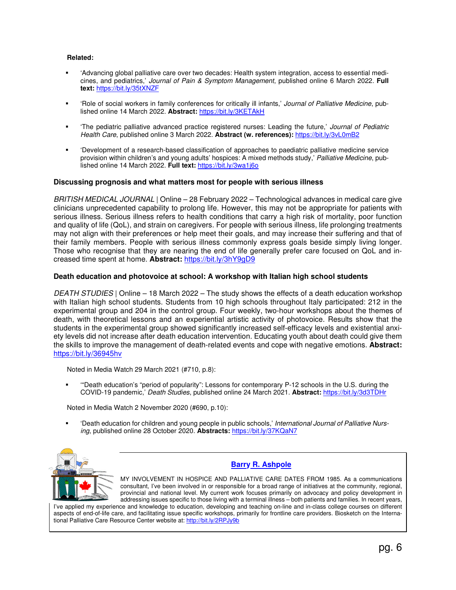#### **Related:**

- 'Advancing global palliative care over two decades: Health system integration, access to essential medicines, and pediatrics,' Journal of Pain & Symptom Management, published online 6 March 2022. **Full text:** https://bit.ly/35tXNZF
- 'Role of social workers in family conferences for critically ill infants,' Journal of Palliative Medicine, published online 14 March 2022. **Abstract:** https://bit.ly/3KETAkH
- 'The pediatric palliative advanced practice registered nurses: Leading the future,' Journal of Pediatric Health Care, published online 3 March 2022. **Abstract (w. references):** https://bit.ly/3vL0mB2
- 'Development of a research-based classification of approaches to paediatric palliative medicine service provision within children's and young adults' hospices: A mixed methods study,' Palliative Medicine, published online 14 March 2022. **Full text:** https://bit.ly/3wa1j6o

#### **Discussing prognosis and what matters most for people with serious illness**

BRITISH MEDICAL JOURNAL | Online – 28 February 2022 – Technological advances in medical care give clinicians unprecedented capability to prolong life. However, this may not be appropriate for patients with serious illness. Serious illness refers to health conditions that carry a high risk of mortality, poor function and quality of life (QoL), and strain on caregivers. For people with serious illness, life prolonging treatments may not align with their preferences or help meet their goals, and may increase their suffering and that of their family members. People with serious illness commonly express goals beside simply living longer. Those who recognise that they are nearing the end of life generally prefer care focused on QoL and increased time spent at home. **Abstract:** https://bit.ly/3hY9gD9

#### **Death education and photovoice at school: A workshop with Italian high school students**

DEATH STUDIES | Online – 18 March 2022 – The study shows the effects of a death education workshop with Italian high school students. Students from 10 high schools throughout Italy participated: 212 in the experimental group and 204 in the control group. Four weekly, two-hour workshops about the themes of death, with theoretical lessons and an experiential artistic activity of photovoice. Results show that the students in the experimental group showed significantly increased self-efficacy levels and existential anxiety levels did not increase after death education intervention. Educating youth about death could give them the skills to improve the management of death-related events and cope with negative emotions. **Abstract:** https://bit.ly/36945hv

Noted in Media Watch 29 March 2021 (#710, p.8):

 '"Death education's "period of popularity": Lessons for contemporary P-12 schools in the U.S. during the COVID-19 pandemic,' Death Studies, published online 24 March 2021. **Abstract:** https://bit.ly/3d3TDHr

Noted in Media Watch 2 November 2020 (#690, p.10):

 'Death education for children and young people in public schools,' International Journal of Palliative Nursing, published online 28 October 2020. **Abstracts:** https://bit.ly/37KQaN7



# **Barry R. Ashpole**

MY INVOLVEMENT IN HOSPICE AND PALLIATIVE CARE DATES FROM 1985. As a communications consultant, I've been involved in or responsible for a broad range of initiatives at the community, regional, provincial and national level. My current work focuses primarily on advocacy and policy development in addressing issues specific to those living with a terminal illness – both patients and families. In recent years,

I've applied my experience and knowledge to education, developing and teaching on-line and in-class college courses on different aspects of end-of-life care, and facilitating issue specific workshops, primarily for frontline care providers. Biosketch on the International Palliative Care Resource Center website at: http://bit.ly/2RPJy9b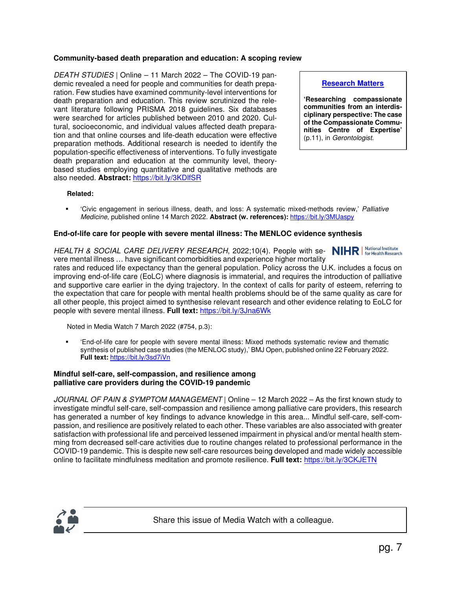# **Community-based death preparation and education: A scoping review**

DEATH STUDIES | Online – 11 March 2022 – The COVID-19 pandemic revealed a need for people and communities for death preparation. Few studies have examined community-level interventions for death preparation and education. This review scrutinized the relevant literature following PRISMA 2018 guidelines. Six databases were searched for articles published between 2010 and 2020. Cultural, socioeconomic, and individual values affected death preparation and that online courses and life-death education were effective preparation methods. Additional research is needed to identify the population-specific effectiveness of interventions. To fully investigate death preparation and education at the community level, theorybased studies employing quantitative and qualitative methods are also needed. **Abstract:** https://bit.ly/3KDlfSR

# **Research Matters**

**'Researching compassionate communities from an interdisciplinary perspective: The case of the Compassionate Communities Centre of Expertise'** (p.11), in Gerontologist.

#### **Related:**

'Civic engagement in serious illness, death, and loss: A systematic mixed-methods review,' Palliative Medicine, published online 14 March 2022. **Abstract (w. references):** https://bit.ly/3MUaspy

# **End-of-life care for people with severe mental illness: The MENLOC evidence synthesis**

HEALTH & SOCIAL CARE DELIVERY RESEARCH, 2022;10(4). People with se- **NIHR** | National Institute vere mental illness ... have significant comorbidities and experience higher mortality rates and reduced life expectancy than the general population. Policy across the U.K. includes a focus on improving end-of-life care (EoLC) where diagnosis is immaterial, and requires the introduction of palliative and supportive care earlier in the dying trajectory. In the context of calls for parity of esteem, referring to the expectation that care for people with mental health problems should be of the same quality as care for all other people, this project aimed to synthesise relevant research and other evidence relating to EoLC for people with severe mental illness. **Full text:** https://bit.ly/3Jna6Wk

Noted in Media Watch 7 March 2022 (#754, p.3):

 'End-of-life care for people with severe mental illness: Mixed methods systematic review and thematic synthesis of published case studies (the MENLOC study),' BMJ Open, published online 22 February 2022. **Full text:** https://bit.ly/3sd7iVn

#### **Mindful self-care, self-compassion, and resilience among palliative care providers during the COVID-19 pandemic**

JOURNAL OF PAIN & SYMPTOM MANAGEMENT | Online – 12 March 2022 – As the first known study to investigate mindful self-care, self-compassion and resilience among palliative care providers, this research has generated a number of key findings to advance knowledge in this area... Mindful self-care, self-compassion, and resilience are positively related to each other. These variables are also associated with greater satisfaction with professional life and perceived lessened impairment in physical and/or mental health stemming from decreased self-care activities due to routine changes related to professional performance in the COVID-19 pandemic. This is despite new self-care resources being developed and made widely accessible online to facilitate mindfulness meditation and promote resilience. **Full text:** https://bit.ly/3CKJETN

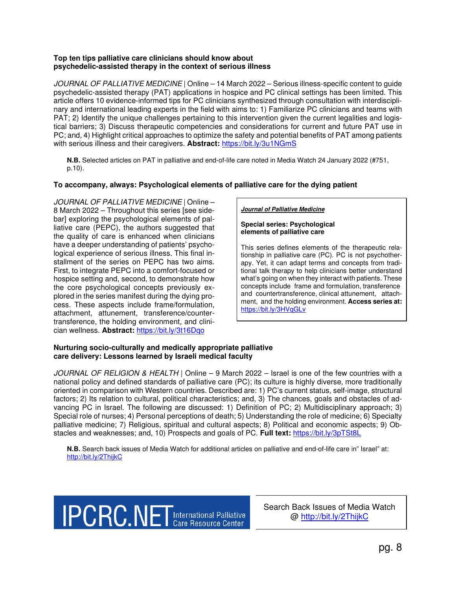# **Top ten tips palliative care clinicians should know about psychedelic-assisted therapy in the context of serious illness**

JOURNAL OF PALLIATIVE MEDICINE | Online – 14 March 2022 – Serious illness-specific content to guide psychedelic-assisted therapy (PAT) applications in hospice and PC clinical settings has been limited. This article offers 10 evidence-informed tips for PC clinicians synthesized through consultation with interdisciplinary and international leading experts in the field with aims to: 1) Familiarize PC clinicians and teams with PAT; 2) Identify the unique challenges pertaining to this intervention given the current legalities and logistical barriers; 3) Discuss therapeutic competencies and considerations for current and future PAT use in PC; and, 4) Highlight critical approaches to optimize the safety and potential benefits of PAT among patients with serious illness and their caregivers. **Abstract:** https://bit.ly/3u1NGmS

**N.B.** Selected articles on PAT in palliative and end-of-life care noted in Media Watch 24 January 2022 (#751, p.10).

# **To accompany, always: Psychological elements of palliative care for the dying patient**

JOURNAL OF PALLIATIVE MEDICINE | Online – 8 March 2022 – Throughout this series [see sidebar] exploring the psychological elements of palliative care (PEPC), the authors suggested that the quality of care is enhanced when clinicians have a deeper understanding of patients' psychological experience of serious illness. This final installment of the series on PEPC has two aims. First, to integrate PEPC into a comfort-focused or hospice setting and, second, to demonstrate how the core psychological concepts previously explored in the series manifest during the dying process. These aspects include frame/formulation, attachment, attunement, transference/countertransference, the holding environment, and clinician wellness. **Abstract:** https://bit.ly/3t16Dqo

#### **Journal of Palliative Medicine**

#### **Special series: Psychological elements of palliative care**

This series defines elements of the therapeutic relationship in palliative care (PC). PC is not psychotherapy. Yet, it can adapt terms and concepts from traditional talk therapy to help clinicians better understand what's going on when they interact with patients. These concepts include frame and formulation, transference and countertransference, clinical attunement, attachment, and the holding environment. **Access series at:** https://bit.ly/3HVqGLv

# **Nurturing socio-culturally and medically appropriate palliative care delivery: Lessons learned by Israeli medical faculty**

JOURNAL OF RELIGION & HEALTH | Online – 9 March 2022 – Israel is one of the few countries with a national policy and defined standards of palliative care (PC); its culture is highly diverse, more traditionally oriented in comparison with Western countries. Described are: 1) PC's current status, self-image, structural factors; 2) Its relation to cultural, political characteristics; and, 3) The chances, goals and obstacles of advancing PC in Israel. The following are discussed: 1) Definition of PC; 2) Multidisciplinary approach; 3) Special role of nurses; 4) Personal perceptions of death; 5) Understanding the role of medicine; 6) Specialty palliative medicine; 7) Religious, spiritual and cultural aspects; 8) Political and economic aspects; 9) Obstacles and weaknesses; and, 10) Prospects and goals of PC. **Full text:** https://bit.ly/3pTSt8L

**N.B.** Search back issues of Media Watch for additional articles on palliative and end-of-life care in" Israel" at: http://bit.ly/2ThijkC

**IPCRC.NET** International Palliative

Search Back Issues of Media Watch @ http://bit.ly/2ThijkC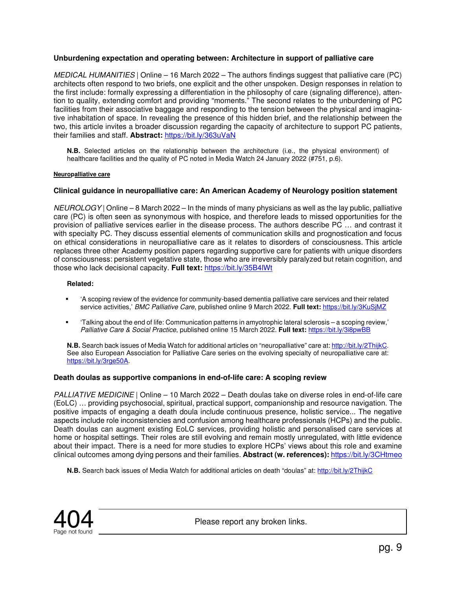# **Unburdening expectation and operating between: Architecture in support of palliative care**

MEDICAL HUMANITIES | Online – 16 March 2022 – The authors findings suggest that palliative care (PC) architects often respond to two briefs, one explicit and the other unspoken. Design responses in relation to the first include: formally expressing a differentiation in the philosophy of care (signaling difference), attention to quality, extending comfort and providing "moments." The second relates to the unburdening of PC facilities from their associative baggage and responding to the tension between the physical and imaginative inhabitation of space. In revealing the presence of this hidden brief, and the relationship between the two, this article invites a broader discussion regarding the capacity of architecture to support PC patients, their families and staff. **Abstract:** https://bit.ly/363uVaN

**N.B.** Selected articles on the relationship between the architecture (i.e., the physical environment) of healthcare facilities and the quality of PC noted in Media Watch 24 January 2022 (#751, p.6).

#### **Neuropalliative care**

# **Clinical guidance in neuropalliative care: An American Academy of Neurology position statement**

 $NEUROLOGY$  Online – 8 March 2022 – In the minds of many physicians as well as the lay public, palliative care (PC) is often seen as synonymous with hospice, and therefore leads to missed opportunities for the provision of palliative services earlier in the disease process. The authors describe PC … and contrast it with specialty PC. They discuss essential elements of communication skills and prognostication and focus on ethical considerations in neuropalliative care as it relates to disorders of consciousness. This article replaces three other Academy position papers regarding supportive care for patients with unique disorders of consciousness: persistent vegetative state, those who are irreversibly paralyzed but retain cognition, and those who lack decisional capacity. **Full text:** https://bit.ly/35B4lWt

#### **Related:**

- 'A scoping review of the evidence for community-based dementia palliative care services and their related service activities,' BMC Palliative Care, published online 9 March 2022. **Full text:** https://bit.ly/3KuSjMZ
- 'Talking about the end of life: Communication patterns in amyotrophic lateral sclerosis a scoping review,' Palliative Care & Social Practice, published online 15 March 2022. **Full text:** https://bit.ly/3i8pwBB

**N.B.** Search back issues of Media Watch for additional articles on "neuropalliative" care at: http://bit.ly/2ThijkC. See also European Association for Palliative Care series on the evolving specialty of neuropalliative care at: https://bit.ly/3rge50A.

#### **Death doulas as supportive companions in end-of-life care: A scoping review**

PALLIATIVE MEDICINE | Online – 10 March 2022 – Death doulas take on diverse roles in end-of-life care (EoLC) … providing psychosocial, spiritual, practical support, companionship and resource navigation. The positive impacts of engaging a death doula include continuous presence, holistic service... The negative aspects include role inconsistencies and confusion among healthcare professionals (HCPs) and the public. Death doulas can augment existing EoLC services, providing holistic and personalised care services at home or hospital settings. Their roles are still evolving and remain mostly unregulated, with little evidence about their impact. There is a need for more studies to explore HCPs' views about this role and examine clinical outcomes among dying persons and their families. **Abstract (w. references):** https://bit.ly/3CHtmeo

**N.B.** Search back issues of Media Watch for additional articles on death "doulas" at: http://bit.ly/2ThijkC



Please report any broken links.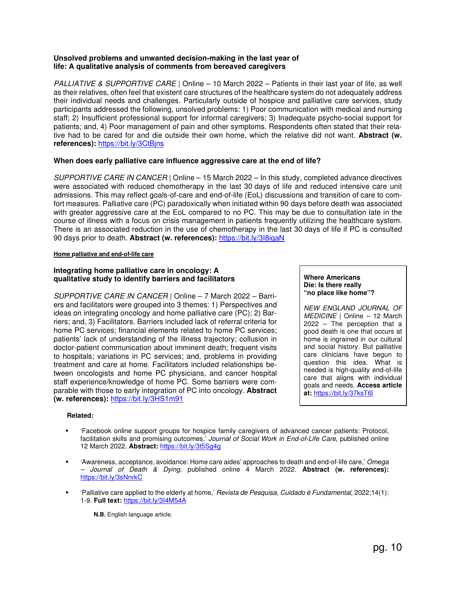# **Unsolved problems and unwanted decision-making in the last year of life: A qualitative analysis of comments from bereaved caregivers**

PALLIATIVE & SUPPORTIVE CARE | Online – 10 March 2022 – Patients in their last year of life, as well as their relatives, often feel that existent care structures of the healthcare system do not adequately address their individual needs and challenges. Particularly outside of hospice and palliative care services, study participants addressed the following, unsolved problems: 1) Poor communication with medical and nursing staff; 2) Insufficient professional support for informal caregivers; 3) Inadequate psycho-social support for patients; and, 4) Poor management of pain and other symptoms. Respondents often stated that their relative had to be cared for and die outside their own home, which the relative did not want. **Abstract (w. references):** https://bit.ly/3CtBjns

# **When does early palliative care influence aggressive care at the end of life?**

SUPPORTIVE CARE IN CANCER | Online – 15 March 2022 – In this study, completed advance directives were associated with reduced chemotherapy in the last 30 days of life and reduced intensive care unit admissions. This may reflect goals-of-care and end-of-life (EoL) discussions and transition of care to comfort measures. Palliative care (PC) paradoxically when initiated within 90 days before death was associated with greater aggressive care at the EoL compared to no PC. This may be due to consultation late in the course of illness with a focus on crisis management in patients frequently utilizing the healthcare system. There is an associated reduction in the use of chemotherapy in the last 30 days of life if PC is consulted 90 days prior to death. **Abstract (w. references):** https://bit.ly/3I8iqaN

#### **Home palliative and end-of-life care**

#### **Integrating home palliative care in oncology: A qualitative study to identify barriers and facilitators**

SUPPORTIVE CARE IN CANCER | Online – 7 March 2022 – Barriers and facilitators were grouped into 3 themes: 1) Perspectives and ideas on integrating oncology and home palliative care (PC); 2) Barriers; and, 3) Facilitators. Barriers included lack of referral criteria for home PC services; financial elements related to home PC services; patients' lack of understanding of the illness trajectory; collusion in doctor-patient communication about imminent death; frequent visits to hospitals; variations in PC services; and, problems in providing treatment and care at home. Facilitators included relationships between oncologists and home PC physicians, and cancer hospital staff experience/knowledge of home PC. Some barriers were comparable with those to early integration of PC into oncology. **Abstract (w. references):** https://bit.ly/3HS1m91

#### **Where Americans Die: Is there really "no place like home"?**

NEW ENGLAND JOURNAL OF MEDICINE | Online – 12 March 2022 – The perception that a good death is one that occurs at home is ingrained in our cultural and social history. But palliative care clinicians have begun to question this idea. What is needed is high-quality end-of-life care that aligns with individual goals and needs. **Access article at:** https://bit.ly/37ksT6l

#### **Related:**

- 'Facebook online support groups for hospice family caregivers of advanced cancer patients: Protocol, facilitation skills and promising outcomes,' Journal of Social Work in End-of-Life Care, published online 12 March 2022. **Abstract:** https://bit.ly/3t5Sg4g
- 'Awareness, acceptance, avoidance: Home care aides' approaches to death and end-of-life care,' Omega – Journal of Death & Dying, published online 4 March 2022. **Abstract (w. references):** https://bit.ly/3sNnrkC
- 'Palliative care applied to the elderly at home,' Revista de Pesquisa, Cuidado é Fundamental, 2022;14(1): 1-9. **Full text:** https://bit.ly/3I4M54A

**N.B.** English language article.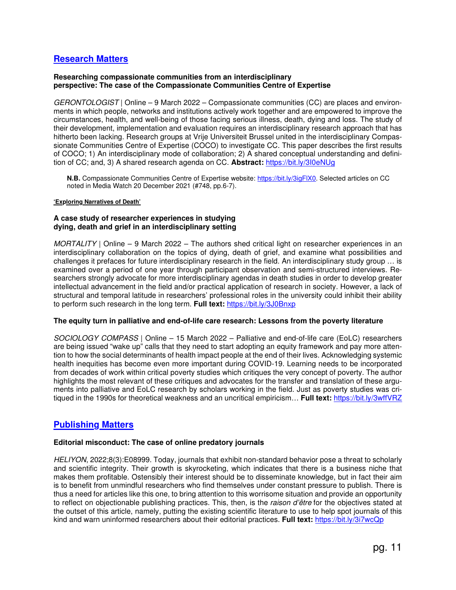# **Research Matters**

#### **Researching compassionate communities from an interdisciplinary perspective: The case of the Compassionate Communities Centre of Expertise**

GERONTOLOGIST | Online – 9 March 2022 – Compassionate communities (CC) are places and environments in which people, networks and institutions actively work together and are empowered to improve the circumstances, health, and well-being of those facing serious illness, death, dying and loss. The study of their development, implementation and evaluation requires an interdisciplinary research approach that has hitherto been lacking. Research groups at Vrije Universiteit Brussel united in the interdisciplinary Compassionate Communities Centre of Expertise (COCO) to investigate CC. This paper describes the first results of COCO; 1) An interdisciplinary mode of collaboration; 2) A shared conceptual understanding and definition of CC; and, 3) A shared research agenda on CC. **Abstract:** https://bit.ly/3I0eNUg

**N.B.** Compassionate Communities Centre of Expertise website: https://bit.ly/3igFlX0. Selected articles on CC noted in Media Watch 20 December 2021 (#748, pp.6-7).

#### **'Exploring Narratives of Death'**

# **A case study of researcher experiences in studying dying, death and grief in an interdisciplinary setting**

MORTALITY | Online – 9 March 2022 – The authors shed critical light on researcher experiences in an interdisciplinary collaboration on the topics of dying, death of grief, and examine what possibilities and challenges it prefaces for future interdisciplinary research in the field. An interdisciplinary study group … is examined over a period of one year through participant observation and semi-structured interviews. Researchers strongly advocate for more interdisciplinary agendas in death studies in order to develop greater intellectual advancement in the field and/or practical application of research in society. However, a lack of structural and temporal latitude in researchers' professional roles in the university could inhibit their ability to perform such research in the long term. **Full text:** https://bit.ly/3J0Bnxp

#### **The equity turn in palliative and end-of-life care research: Lessons from the poverty literature**

SOCIOLOGY COMPASS | Online – 15 March 2022 – Palliative and end-of-life care (EoLC) researchers are being issued "wake up" calls that they need to start adopting an equity framework and pay more attention to how the social determinants of health impact people at the end of their lives. Acknowledging systemic health inequities has become even more important during COVID-19. Learning needs to be incorporated from decades of work within critical poverty studies which critiques the very concept of poverty. The author highlights the most relevant of these critiques and advocates for the transfer and translation of these arguments into palliative and EoLC research by scholars working in the field. Just as poverty studies was critiqued in the 1990s for theoretical weakness and an uncritical empiricism… **Full text:** https://bit.ly/3wffVRZ

# **Publishing Matters**

# **Editorial misconduct: The case of online predatory journals**

HELIYON, 2022;8(3):E08999. Today, journals that exhibit non-standard behavior pose a threat to scholarly and scientific integrity. Their growth is skyrocketing, which indicates that there is a business niche that makes them profitable. Ostensibly their interest should be to disseminate knowledge, but in fact their aim is to benefit from unmindful researchers who find themselves under constant pressure to publish. There is thus a need for articles like this one, to bring attention to this worrisome situation and provide an opportunity to reflect on objectionable publishing practices. This, then, is the raison d'être for the objectives stated at the outset of this article, namely, putting the existing scientific literature to use to help spot journals of this kind and warn uninformed researchers about their editorial practices. **Full text:** https://bit.ly/3i7wcQp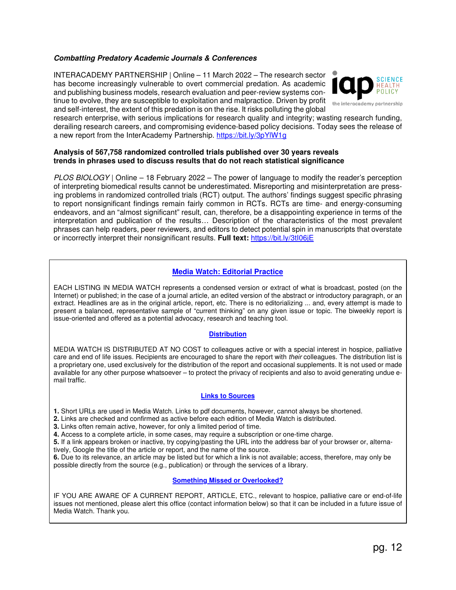# **Combatting Predatory Academic Journals & Conferences**

INTERACADEMY PARTNERSHIP | Online – 11 March 2022 – The research sector has become increasingly vulnerable to overt commercial predation. As academic and publishing business models, research evaluation and peer-review systems continue to evolve, they are susceptible to exploitation and malpractice. Driven by profit and self-interest, the extent of this predation is on the rise. It risks polluting the global



research enterprise, with serious implications for research quality and integrity; wasting research funding, derailing research careers, and compromising evidence-based policy decisions. Today sees the release of a new report from the InterAcademy Partnership. https://bit.ly/3pYlW1g

#### **Analysis of 567,758 randomized controlled trials published over 30 years reveals trends in phrases used to discuss results that do not reach statistical significance**

PLOS BIOLOGY | Online – 18 February 2022 – The power of language to modify the reader's perception of interpreting biomedical results cannot be underestimated. Misreporting and misinterpretation are pressing problems in randomized controlled trials (RCT) output. The authors' findings suggest specific phrasing to report nonsignificant findings remain fairly common in RCTs. RCTs are time- and energy-consuming endeavors, and an "almost significant" result, can, therefore, be a disappointing experience in terms of the interpretation and publication of the results… Description of the characteristics of the most prevalent phrases can help readers, peer reviewers, and editors to detect potential spin in manuscripts that overstate or incorrectly interpret their nonsignificant results. **Full text:** https://bit.ly/3tI06jE

# **Media Watch: Editorial Practice**

EACH LISTING IN MEDIA WATCH represents a condensed version or extract of what is broadcast, posted (on the Internet) or published; in the case of a journal article, an edited version of the abstract or introductory paragraph, or an extract. Headlines are as in the original article, report, etc. There is no editorializing ... and, every attempt is made to present a balanced, representative sample of "current thinking" on any given issue or topic. The biweekly report is issue-oriented and offered as a potential advocacy, research and teaching tool.

#### **Distribution**

MEDIA WATCH IS DISTRIBUTED AT NO COST to colleagues active or with a special interest in hospice, palliative care and end of life issues. Recipients are encouraged to share the report with their colleagues. The distribution list is a proprietary one, used exclusively for the distribution of the report and occasional supplements. It is not used or made available for any other purpose whatsoever – to protect the privacy of recipients and also to avoid generating undue email traffic.

# **Links to Sources**

**1.** Short URLs are used in Media Watch. Links to pdf documents, however, cannot always be shortened.

**2.** Links are checked and confirmed as active before each edition of Media Watch is distributed.

**3.** Links often remain active, however, for only a limited period of time.

**4.** Access to a complete article, in some cases, may require a subscription or one-time charge.

**5.** If a link appears broken or inactive, try copying/pasting the URL into the address bar of your browser or, alternatively, Google the title of the article or report, and the name of the source.

**6.** Due to its relevance, an article may be listed but for which a link is not available; access, therefore, may only be possible directly from the source (e.g., publication) or through the services of a library.

#### **Something Missed or Overlooked?**

IF YOU ARE AWARE OF A CURRENT REPORT, ARTICLE, ETC., relevant to hospice, palliative care or end-of-life issues not mentioned, please alert this office (contact information below) so that it can be included in a future issue of Media Watch. Thank you.